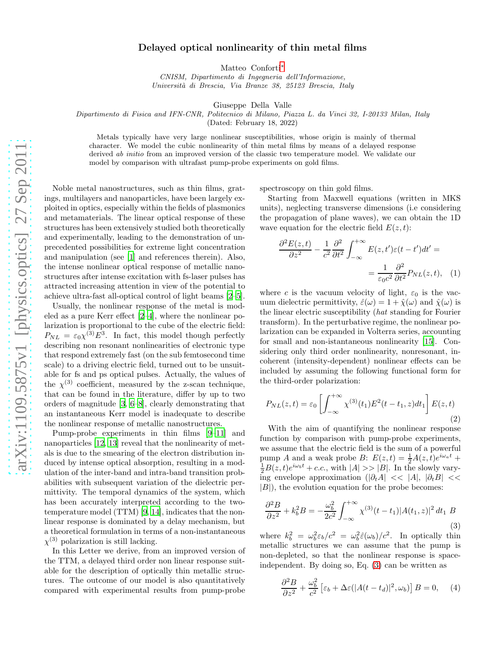## Delayed optical nonlinearity of thin metal films

Matteo Conforti[∗](#page-3-0)

CNISM, Dipartimento di Ingegneria dell'Informazione, Universit`a di Brescia, Via Branze 38, 25123 Brescia, Italy

Giuseppe Della Valle

Dipartimento di Fisica and IFN-CNR, Politecnico di Milano, Piazza L. da Vinci 32, I-20133 Milan, Italy

(Dated: February 18, 2022)

Metals typically have very large nonlinear susceptibilities, whose origin is mainly of thermal character. We model the cubic nonlinearity of thin metal films by means of a delayed response derived *ab initio* from an improved version of the classic two temperature model. We validate our model by comparison with ultrafast pump-probe experiments on gold films.

Noble metal nanostructures, such as thin films, gratings, multilayers and nanoparticles, have been largely exploited in optics, especially within the fields of plasmonics and metamaterials. The linear optical response of these structures has been extensively studied both theoretically and experimentally, leading to the demonstration of unprecedented possibilities for extreme light concentration and manipulation (see [\[1\]](#page-3-1) and references therein). Also, the intense nonlinear optical response of metallic nanostructures after intense excitation with fs-laser pulses has attracted increasing attention in view of the potential to achieve ultra-fast all-optical control of light beams [\[2](#page-3-2)[–5\]](#page-3-3).

Usually, the nonlinear response of the metal is modeled as a pure Kerr effect [\[2](#page-3-2)[–4\]](#page-3-4), where the nonlinear polarization is proportional to the cube of the electric field:  $P_{NL} = \varepsilon_0 \chi^{(3)} E^3$ . In fact, this model though perfectly describing non resonant nonlinearities of electronic type that respond extremely fast (on the sub femtosecond time scale) to a driving electric field, turned out to be unsuitable for fs and ps optical pulses. Actually, the values of the  $\chi^{(3)}$  coefficient, measured by the z-scan technique, that can be found in the literature, differ by up to two orders of magnitude [\[3,](#page-3-5) [6](#page-3-6)[–8\]](#page-3-7), clearly demonstrating that an instantaneous Kerr model is inadequate to describe the nonlinear response of metallic nanostructures.

Pump-probe experiments in thin films [\[9](#page-3-8)[–11\]](#page-3-9) and nanoparticles [\[12](#page-3-10), [13\]](#page-3-11) reveal that the nonlinearity of metals is due to the smearing of the electron distribution induced by intense optical absorption, resulting in a modulation of the inter-band and intra-band transition probabilities with subsequent variation of the dielectric permittivity. The temporal dynamics of the system, which has been accurately interpreted according to the twotemperature model (TTM) [\[9,](#page-3-8) [14\]](#page-3-12), indicates that the nonlinear response is dominated by a delay mechanism, but a theoretical formulation in terms of a non-instantaneous  $\chi^{(3)}$  polarization is still lacking.

In this Letter we derive, from an improved version of the TTM, a delayed third order non linear response suitable for the description of optically thin metallic structures. The outcome of our model is also quantitatively compared with experimental results from pump-probe

spectroscopy on thin gold films.

Starting from Maxwell equations (written in MKS units), neglecting transverse dimensions (i.e considering the propagation of plane waves), we can obtain the 1D wave equation for the electric field  $E(z, t)$ :

$$
\frac{\partial^2 E(z,t)}{\partial z^2} - \frac{1}{c^2} \frac{\partial^2}{\partial t^2} \int_{-\infty}^{+\infty} E(z,t')\varepsilon(t-t')dt' =
$$

$$
= \frac{1}{\varepsilon_0 c^2} \frac{\partial^2}{\partial t^2} P_{NL}(z,t), \quad (1)
$$

where c is the vacuum velocity of light,  $\varepsilon_0$  is the vacuum dielectric permittivity,  $\hat{\varepsilon}(\omega) = 1 + \hat{\chi}(\omega)$  and  $\hat{\chi}(\omega)$  is the linear electric susceptibility (hat standing for Fourier transform). In the perturbative regime, the nonlinear polarization can be expanded in Volterra series, accounting for small and non-istantaneous nonlinearity [\[15\]](#page-3-13). Considering only third order nonlinearity, nonresonant, incoherent (intensity-dependent) nonlinear effects can be included by assuming the following functional form for the third-order polarization:

$$
P_{NL}(z,t) = \varepsilon_0 \left[ \int_{-\infty}^{+\infty} \chi^{(3)}(t_1) E^2(t - t_1, z) dt_1 \right] E(z,t)
$$
\n(2)

With the aim of quantifying the nonlinear response function by comparison with pump-probe experiments, we assume that the electric field is the sum of a powerful pump A and a weak probe B:  $E(z,t) = \frac{1}{2}A(z,t)e^{i\omega_a t}$  +  $\frac{1}{2}B(z,t)e^{i\omega_b t} + c.c.,$  with  $|A| >> |B|$ . In the slowly varying envelope approximation ( $|\partial_t A| \ll |A|$ ,  $|\partial_t B| \ll$  $|B|$ , the evolution equation for the probe becomes:

<span id="page-0-0"></span>
$$
\frac{\partial^2 B}{\partial z^2} + k_b^2 B = -\frac{\omega_b^2}{2c^2} \int_{-\infty}^{+\infty} \chi^{(3)}(t - t_1) |A(t_1, z)|^2 dt_1 B
$$
\n(3)

where  $k_b^2 = \omega_b^2 \varepsilon_b/c^2 = \omega_b^2 \hat{\varepsilon}(\omega_b)/c^2$ . In optically thin metallic structures we can assume that the pump is non-depleted, so that the nonlinear response is spaceindependent. By doing so, Eq. [\(3\)](#page-0-0) can be written as

<span id="page-0-1"></span>
$$
\frac{\partial^2 B}{\partial z^2} + \frac{\omega_b^2}{c^2} \left[ \varepsilon_b + \Delta \varepsilon (|A(t - t_d)|^2, \omega_b) \right] B = 0, \quad (4)
$$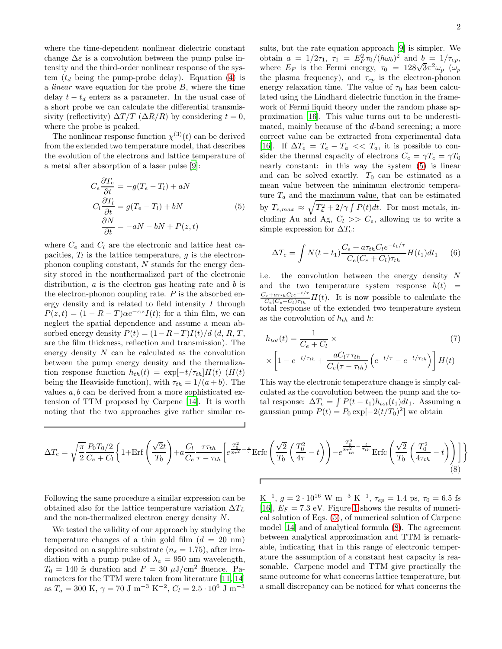where the time-dependent nonlinear dielectric constant change  $\Delta \varepsilon$  is a convolution between the pump pulse intensity and the third-order nonlinear response of the system  $(t_d$  being the pump-probe delay). Equation [\(4\)](#page-0-1) is a *linear* wave equation for the probe  $B$ , where the time delay  $t - t_d$  enters as a parameter. In the usual case of a short probe we can calculate the differential transmissivity (reflectivity)  $\Delta T/T$  ( $\Delta R/R$ ) by considering  $t = 0$ , where the probe is peaked.

The nonlinear response function  $\chi^{(3)}(t)$  can be derived from the extended two temperature model, that describes the evolution of the electrons and lattice temperature of a metal after absorption of a laser pulse [\[9](#page-3-8)]:

<span id="page-1-0"></span>
$$
C_e \frac{\partial T_e}{\partial t} = -g(T_e - T_l) + aN
$$
  
\n
$$
C_l \frac{\partial T_l}{\partial t} = g(T_e - T_l) + bN
$$
  
\n
$$
\frac{\partial N}{\partial t} = -aN - bN + P(z, t)
$$
\n(5)

where  $C_e$  and  $C_l$  are the electronic and lattice heat capacities,  $T_l$  is the lattice temperature, g is the electronphonon coupling constant, N stands for the energy density stored in the nonthermalized part of the electronic distribution,  $a$  is the electron gas heating rate and  $b$  is the electron-phonon coupling rate.  $P$  is the absorbed energy density and is related to field intensity I through  $P(z,t) = (1 - R - T)\alpha e^{-\alpha z}I(t)$ ; for a thin film, we can neglect the spatial dependence and assume a mean absorbed energy density  $P(t) = (1 - R - T)I(t)/d$  (d, R, T, are the film thickness, reflection and transmission). The energy density N can be calculated as the convolution between the pump energy density and the thermalization response function  $h_{th}(t) = \exp[-t/\tau_{th}]H(t)$  (H(t) being the Heaviside function), with  $\tau_{th} = 1/(a + b)$ . The values  $a, b$  can be derived from a more sophisticated extension of TTM proposed by Carpene [\[14\]](#page-3-12). It is worth noting that the two approaches give rather similar results, but the rate equation approach [\[9\]](#page-3-8) is simpler. We obtain  $a = 1/2\tau_1$ ,  $\tau_1 = E_F^2 \tau_0 / (\hbar \omega_b)^2$  and  $b = 1/\tau_{ep}$ , where  $E_F$  is the Fermi energy,  $\tau_0 = 128\sqrt{3}\pi^2\omega_p$  ( $\omega_p$ ) the plasma frequency), and  $\tau_{ep}$  is the electron-phonon energy relaxation time. The value of  $\tau_0$  has been calculated using the Lindhard dielectric function in the framework of Fermi liquid theory under the random phase approximation [\[16](#page-4-0)]. This value turns out to be underestimated, mainly because of the d-band screening; a more correct value can be extracted from experimental data [\[16\]](#page-4-0). If  $\Delta T_e = T_e - T_a \ll T_a$ , it is possible to consider the thermal capacity of electrons  $C_e = \gamma T_e = \gamma T_0$ nearly constant: in this way the system [\(5\)](#page-1-0) is linear and can be solved exactly.  $T_0$  can be estimated as a mean value between the minimum electronic temperature  $T_a$  and the maximum value, that can be estimated by  $T_{e,max} \approx \sqrt{T_a^2 + 2/\gamma \int P(t)dt}$ . For most metals, including Au and Ag,  $C_l \gg C_e$ , allowing us to write a simple expression for  $\Delta T_e$ :

$$
\Delta T_e = \int N(t - t_1) \frac{C_e + a\tau_{th}C_l e^{-t_1/\tau}}{C_e(C_e + C_l)\tau_{th}} H(t_1) dt_1 \quad (6)
$$

i.e. the convolution between the energy density N and the two temperature system response  $h(t)$  =  $C_e + a\tau_{th}C_le^{-t/\tau}$  $\frac{C_e + a\tau_{th}C_1e^{-c}}{C_e(C_e+C_l)\tau_{th}}H(t)$ . It is now possible to calculate the total response of the extended two temperature system as the convolution of  $h_{th}$  and  $h$ :

$$
h_{tot}(t) = \frac{1}{C_e + C_l} \times \tag{7}
$$

$$
\times \left[1 - e^{-t/\tau_{th}} + \frac{aC_l \tau \tau_{th}}{C_e(\tau - \tau_{th})} \left(e^{-t/\tau} - e^{-t/\tau_{th}}\right)\right] H(t)
$$

This way the electronic temperature change is simply calculated as the convolution between the pump and the total response:  $\Delta T_e = \int P(t - t_1) h_{tot}(t_1) dt_1$ . Assuming a gaussian pump  $P(t) = P_0 \exp[-2(t/T_0)^2]$  we obtain

<span id="page-1-1"></span>
$$
\Delta T_e = \sqrt{\frac{\pi}{2}} \frac{P_0 T_0 / 2}{C_e + C_l} \left\{ 1 + \text{Erf} \left( \frac{\sqrt{2}t}{T_0} \right) + a \frac{C_l}{C_e} \frac{\tau \tau_{th}}{\tau - \tau_{th}} \left[ e^{\frac{T_0^2}{8\tau^2} - \frac{t}{\tau}} \text{Erfc} \left( \frac{\sqrt{2}}{T_0} \left( \frac{T_0^2}{4\tau} - t \right) \right) - e^{\frac{T_0^2}{8\tau_{th}^2} - \frac{t}{\tau_{th}}} \text{Erfc} \left( \frac{\sqrt{2}}{T_0} \left( \frac{T_0^2}{4\tau_{th}} - t \right) \right) \right\}
$$
(8)

Following the same procedure a similar expression can be obtained also for the lattice temperature variation  $\Delta T_L$ and the non-thermalized electron energy density N.

We tested the validity of our approach by studying the temperature changes of a thin gold film  $(d = 20 \text{ nm})$ deposited on a sapphire substrate  $(n_s = 1.75)$ , after irradiation with a pump pulse of  $\lambda_a = 950$  nm wavelength,  $T_0 = 140$  fs duration and  $F = 30 \mu J/cm^2$  fluence. Parameters for the TTM were taken from literature [\[11,](#page-3-9) [14](#page-3-12)] as  $T_a = 300 \text{ K}, \gamma = 70 \text{ J m}^{-3} \text{ K}^{-2}, C_l = 2.5 \cdot 10^6 \text{ J m}^{-3}$ 

K<sup>-1</sup>,  $g = 2 \cdot 10^{16}$  W m<sup>-3</sup> K<sup>-1</sup>,  $\tau_{ep} = 1.4$  ps,  $\tau_0 = 6.5$  fs [\[16\]](#page-4-0),  $E_F = 7.3$  eV. Figure [1](#page-2-0) shows the results of numerical solution of Eqs. [\(5\)](#page-1-0), of numerical solution of Carpene model [\[14](#page-3-12)] and of analytical formula [\(8\)](#page-1-1). The agreement between analytical approximation and TTM is remarkable, indicating that in this range of electronic temperature the assumption of a constant heat capacity is reasonable. Carpene model and TTM give practically the same outcome for what concerns lattice temperature, but a small discrepancy can be noticed for what concerns the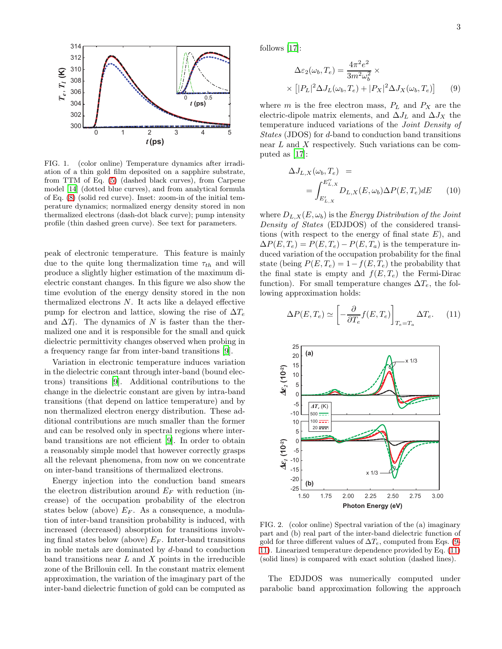

<span id="page-2-0"></span>FIG. 1. (color online) Temperature dynamics after irradiation of a thin gold film deposited on a sapphire substrate, from TTM of Eq. [\(5\)](#page-1-0) (dashed black curves), from Carpene model [\[14](#page-3-12)] (dotted blue curves), and from analytical formula of Eq. [\(8\)](#page-1-1) (solid red curve). Inset: zoom-in of the initial temperature dynamics; normalized energy density stored in non thermalized electrons (dash-dot black curve); pump intensity profile (thin dashed green curve). See text for parameters.

peak of electronic temperature. This feature is mainly due to the quite long thermalization time  $\tau_{th}$  and will produce a slightly higher estimation of the maximum dielectric constant changes. In this figure we also show the time evolution of the energy density stored in the non thermalized electrons  $N$ . It acts like a delayed effective pump for electron and lattice, slowing the rise of  $\Delta T_e$ and  $\Delta T_l$ . The dynamics of N is faster than the thermalized one and it is responsible for the small and quick dielectric permittivity changes observed when probing in a frequency range far from inter-band transitions [\[9\]](#page-3-8).

Variation in electronic temperature induces variation in the dielectric constant through inter-band (bound electrons) transitions [\[9\]](#page-3-8). Additional contributions to the change in the dielectric constant are given by intra-band transitions (that depend on lattice temperature) and by non thermalized electron energy distribution. These additional contributions are much smaller than the former and can be resolved only in spectral regions where interband transitions are not efficient [\[9\]](#page-3-8). In order to obtain a reasonably simple model that however correctly grasps all the relevant phenomena, from now on we concentrate on inter-band transitions of thermalized electrons.

Energy injection into the conduction band smears the electron distribution around  $E_F$  with reduction (increase) of the occupation probability of the electron states below (above)  $E_F$ . As a consequence, a modulation of inter-band transition probability is induced, with increased (decreased) absorption for transitions involving final states below (above)  $E_F$ . Inter-band transitions in noble metals are dominated by d-band to conduction band transitions near  $L$  and  $X$  points in the irreducible zone of the Brillouin cell. In the constant matrix element approximation, the variation of the imaginary part of the inter-band dielectric function of gold can be computed as

follows [\[17\]](#page-4-1):

<span id="page-2-1"></span>
$$
\Delta\varepsilon_2(\omega_b, T_e) = \frac{4\pi^2 e^2}{3m^2 \omega_b^2} \times \times \left[|P_L|^2 \Delta J_L(\omega_b, T_e) + |P_X|^2 \Delta J_X(\omega_b, T_e)\right]
$$
(9)

where  $m$  is the free electron mass,  $P_L$  and  $P_X$  are the electric-dipole matrix elements, and  $\Delta J_L$  and  $\Delta J_X$  the temperature induced variations of the Joint Density of States (JDOS) for d-band to conduction band transitions near L and X respectively. Such variations can be computed as [\[17](#page-4-1)]:

$$
\Delta J_{L,X}(\omega_b, T_e) =
$$
  
= 
$$
\int_{E'_{L,X}}^{E''_{L,X}} D_{L,X}(E, \omega_b) \Delta P(E, T_e) dE
$$
 (10)

where  $D_{L,X}(E,\omega_b)$  is the *Energy Distribution of the Joint* Density of States (EDJDOS) of the considered transitions (with respect to the energy of final state  $E$ ), and  $\Delta P(E, T_e) = P(E, T_e) - P(E, T_a)$  is the temperature induced variation of the occupation probability for the final state (being  $P(E, T_e) = 1 - f(E, T_e)$  the probability that the final state is empty and  $f(E, T_e)$  the Fermi-Dirac function). For small temperature changes  $\Delta T_e$ , the following approximation holds:

<span id="page-2-2"></span>
$$
\Delta P(E, T_e) \simeq \left[ -\frac{\partial}{\partial T_e} f(E, T_e) \right]_{T_e = T_a} \Delta T_e. \tag{11}
$$



FIG. 2. (color online) Spectral variation of the (a) imaginary part and (b) real part of the inter-band dielectric function of gold for three different values of  $\Delta T_e$ , computed from Eqs. [\(9-](#page-2-1) [11\)](#page-2-2). Linearized temperature dependence provided by Eq. [\(11\)](#page-2-2) (solid lines) is compared with exact solution (dashed lines).

The EDJDOS was numerically computed under parabolic band approximation following the approach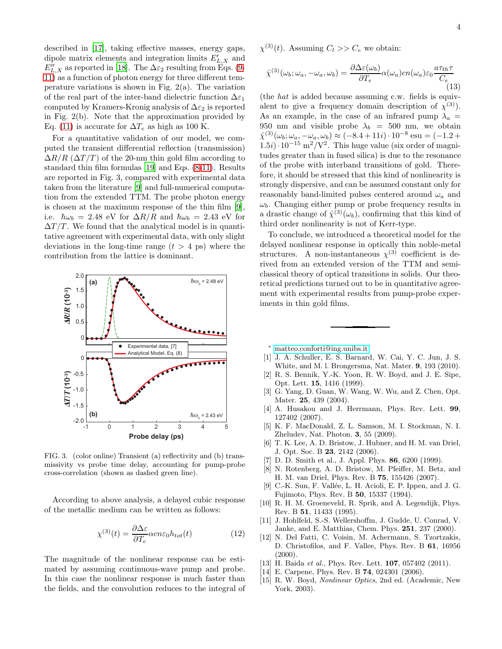described in [\[17\]](#page-4-1), taking effective masses, energy gaps, dipole matrix elements and integration limits  $E'_{L,X}$  and  $E_{L,X}^{\prime\prime}$  as reported in [\[18\]](#page-4-2). The  $\Delta \varepsilon_2$  resulting from Eqs. [\(9-](#page-2-1) [11\)](#page-2-2) as a function of photon energy for three different temperature variations is shown in Fig.  $2(a)$ . The variation of the real part of the inter-band dielectric function  $\Delta \varepsilon_1$ computed by Kramers-Kronig analysis of  $\Delta \varepsilon_2$  is reported in Fig. 2(b). Note that the approximation provided by Eq. [\(11\)](#page-2-2) is accurate for  $\Delta T_e$  as high as 100 K.

For a quantitative validation of our model, we computed the transient differential reflection (transmission)  $\Delta R/R$  ( $\Delta T/T$ ) of the 20-nm thin gold film according to standard thin film formulas [\[19](#page-4-3)] and Eqs. [\(8](#page-1-1)[-11\)](#page-2-2). Results are reported in Fig. 3, compared with experimental data taken from the literature [\[9](#page-3-8)] and full-numerical computation from the extended TTM. The probe photon energy is chosen at the maximum response of the thin film [\[9\]](#page-3-8), i.e.  $\hbar\omega_b = 2.48$  eV for  $\Delta R/R$  and  $\hbar\omega_b = 2.43$  eV for  $\Delta T/T$ . We found that the analytical model is in quantitative agreement with experimental data, with only slight deviations in the long-time range  $(t > 4$  ps) where the contribution from the lattice is dominant.



FIG. 3. (color online) Transient (a) reflectivity and (b) transmissivity vs probe time delay, accounting for pump-probe cross-correlation (shown as dashed green line).

According to above analysis, a delayed cubic response of the metallic medium can be written as follows:

$$
\chi^{(3)}(t) = \frac{\partial \Delta \varepsilon}{\partial T_e} \alpha c n \varepsilon_0 h_{tot}(t)
$$
 (12)

The magnitude of the nonlinear response can be estimated by assuming continuous-wave pump and probe. In this case the nonlinear response is much faster than the fields, and the convolution reduces to the integral of

$$
\hat{\chi}^{(3)}(\omega_b; \omega_a, -\omega_a, \omega_b) = \frac{\partial \Delta \varepsilon(\omega_b)}{\partial T_e} \alpha(\omega_a) cn(\omega_a) \varepsilon_0 \frac{a \tau_{th} \tau}{C_e} \tag{13}
$$

(the hat is added because assuming c.w. fields is equivalent to give a frequency domain description of  $\chi^{(3)}$ ). As an example, in the case of an infrared pump  $\lambda_a$  = 950 nm and visible probe  $\lambda_b = 500$  nm, we obtain  $\hat{\chi}^{(3)}(\omega_b; \omega_a, -\omega_a, \omega_b) \approx (-8.4 + 11i) \cdot 10^{-8} \text{ esu} = (-1.2 +$ 1.5*i*)·10<sup>-15</sup> m<sup>2</sup>/V<sup>2</sup>. This huge value (six order of magnitudes greater than in fused silica) is due to the resonance of the probe with interband transitions of gold. Therefore, it should be stressed that this kind of nonlinearity is strongly dispersive, and can be assumed constant only for reasonably band-limited pulses centered around  $\omega_a$  and  $\omega_b$ . Changing either pump or probe frequency results in a drastic change of  $\hat{\chi}^{(3)}(\omega_b)$ , confirming that this kind of third order nonlinearity is not of Kerr-type.

To conclude, we introduced a theoretical model for the delayed nonlinear response in optically thin noble-metal structures. A non-instantaneous  $\chi^{(3)}$  coefficient is derived from an extended version of the TTM and semiclassical theory of optical transitions in solids. Our theoretical predictions turned out to be in quantitative agreement with experimental results from pump-probe experiments in thin gold films.

<span id="page-3-0"></span><sup>∗</sup> [matteo.conforti@ing.unibs.it](mailto:matteo.conforti@ing.unibs.it)

- <span id="page-3-1"></span>[1] J. A. Schuller, E. S. Barnard, W. Cai, Y. C. Jun, J. S. White, and M. l. Brongersma, Nat. Mater. 9, 193 (2010).
- <span id="page-3-2"></span>[2] R. S. Bennik, Y.-K. Yoon, R. W. Boyd, and J. E. Sipe, Opt. Lett. 15, 1416 (1999).
- <span id="page-3-5"></span>[3] G. Yang, D. Guan, W. Wang, W. Wu, and Z. Chen, Opt. Mater. 25, 439 (2004).
- <span id="page-3-4"></span>[4] A. Husakou and J. Herrmann, Phys. Rev. Lett. 99, 127402 (2007).
- <span id="page-3-3"></span>[5] K. F. MacDonald, Z. L. Samson, M. I. Stockman, N. I. Zheludev, Nat. Photon. 3, 55 (2009).
- <span id="page-3-6"></span>[6] T. K. Lee, A. D. Bristow, J. Hubner, and H. M. van Driel, J. Opt. Soc. B 23, 2142 (2006).
- [7] D. D. Smith et al., J. Appl. Phys. 86, 6200 (1999).
- <span id="page-3-7"></span>[8] N. Rotenberg, A. D. Bristow, M. Pfeiffer, M. Betz, and H. M. van Driel, Phys. Rev. B 75, 155426 (2007).
- <span id="page-3-8"></span>[9] C.-K. Sun, F. Vallée, L. H. Acioli, E. P. Ippen, and J. G. Fujimoto, Phys. Rev. B 50, 15337 (1994).
- [10] R. H. M. Groeneveld, R. Sprik, and A. Legendijk, Phys. Rev. B 51, 11433 (1995).
- <span id="page-3-9"></span>[11] J. Hohlfeld, S.-S. Wellershoffm, J. Gudde, U. Conrad, V. Janke, and E. Matthias, Chem. Phys. 251, 237 (2000).
- <span id="page-3-10"></span>[12] N. Del Fatti, C. Voisin, M. Achermann, S. Tzortzakis, D. Christofilos, and F. Vallee, Phys. Rev. B 61, 16956  $(2000).$
- <span id="page-3-11"></span>[13] H. Baida et al., Phys. Rev. Lett. **107**, 057402 (2011).
- <span id="page-3-12"></span>[14] E. Carpene, Phys. Rev. B **74**, 024301 (2006).
- <span id="page-3-13"></span>[15] R. W. Boyd, Nonlinear Optics, 2nd ed. (Academic, New York, 2003).